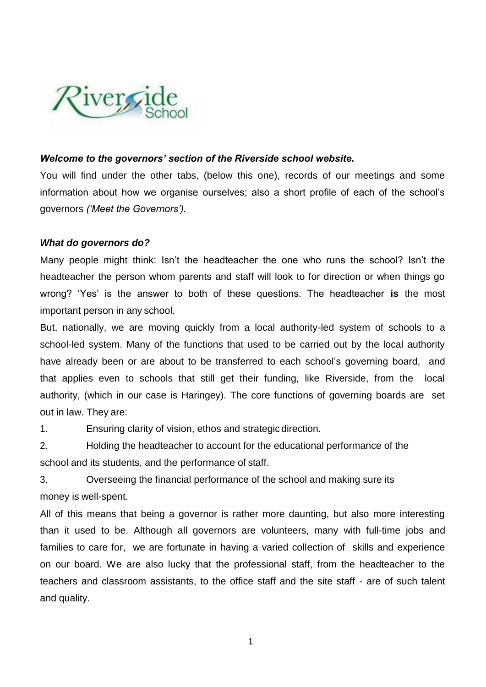

## *Welcome to the governors' section of the Riverside school website.*

You will find under the other tabs, (below this one), records of our meetings and some information about how we organise ourselves; also a short profile of each of the school's governors *('Meet the Governors').*

## *What do governors do?*

Many people might think: Isn't the headteacher the one who runs the school? Isn't the headteacher the person whom parents and staff will look to for direction or when things go wrong? 'Yes' is the answer to both of these questions. The headteacher **is** the most important person in any school.

But, nationally, we are moving quickly from a local authority-led system of schools to a school-led system. Many of the functions that used to be carried out by the local authority have already been or are about to be transferred to each school's governing board, and that applies even to schools that still get their funding, like Riverside, from the local authority, (which in our case is Haringey). The core functions of governing boards are set out in law. They are:

1. Ensuring clarity of vision, ethos and strategic direction.

2. Holding the headteacher to account for the educational performance of the school and its students, and the performance of staff.

3. Overseeing the financial performance of the school and making sure its money is well-spent.

All of this means that being a governor is rather more daunting, but also more interesting than it used to be. Although all governors are volunteers, many with full-time jobs and families to care for, we are fortunate in having a varied collection of skills and experience on our board. We are also lucky that the professional staff, from the headteacher to the teachers and classroom assistants, to the office staff and the site staff - are of such talent and quality.

1